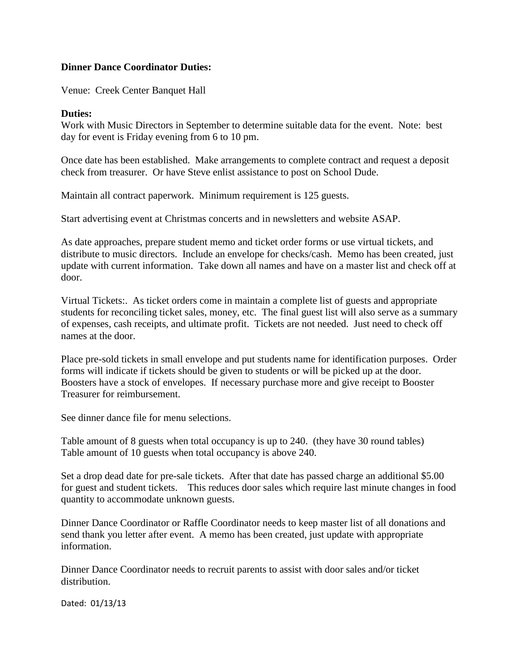## **Dinner Dance Coordinator Duties:**

Venue: Creek Center Banquet Hall

## **Duties:**

Work with Music Directors in September to determine suitable data for the event. Note: best day for event is Friday evening from 6 to 10 pm.

Once date has been established. Make arrangements to complete contract and request a deposit check from treasurer. Or have Steve enlist assistance to post on School Dude.

Maintain all contract paperwork. Minimum requirement is 125 guests.

Start advertising event at Christmas concerts and in newsletters and website ASAP.

As date approaches, prepare student memo and ticket order forms or use virtual tickets, and distribute to music directors. Include an envelope for checks/cash. Memo has been created, just update with current information. Take down all names and have on a master list and check off at door.

Virtual Tickets:. As ticket orders come in maintain a complete list of guests and appropriate students for reconciling ticket sales, money, etc. The final guest list will also serve as a summary of expenses, cash receipts, and ultimate profit. Tickets are not needed. Just need to check off names at the door.

Place pre-sold tickets in small envelope and put students name for identification purposes. Order forms will indicate if tickets should be given to students or will be picked up at the door. Boosters have a stock of envelopes. If necessary purchase more and give receipt to Booster Treasurer for reimbursement.

See dinner dance file for menu selections.

Table amount of 8 guests when total occupancy is up to 240. (they have 30 round tables) Table amount of 10 guests when total occupancy is above 240.

Set a drop dead date for pre-sale tickets. After that date has passed charge an additional \$5.00 for guest and student tickets. This reduces door sales which require last minute changes in food quantity to accommodate unknown guests.

Dinner Dance Coordinator or Raffle Coordinator needs to keep master list of all donations and send thank you letter after event. A memo has been created, just update with appropriate information.

Dinner Dance Coordinator needs to recruit parents to assist with door sales and/or ticket distribution.

Dated: 01/13/13